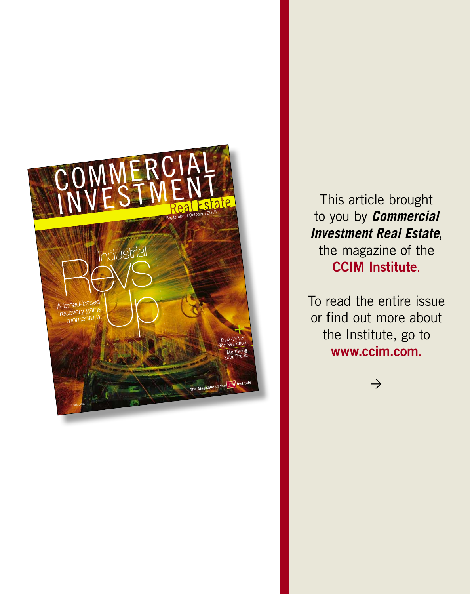

This article brought to you by *Commercial Investment Real Estate*, the magazine of the **CCIM Institute**.

To read the entire issue or find out more about the Institute, go to **www.ccim.com**.

 $\rightarrow$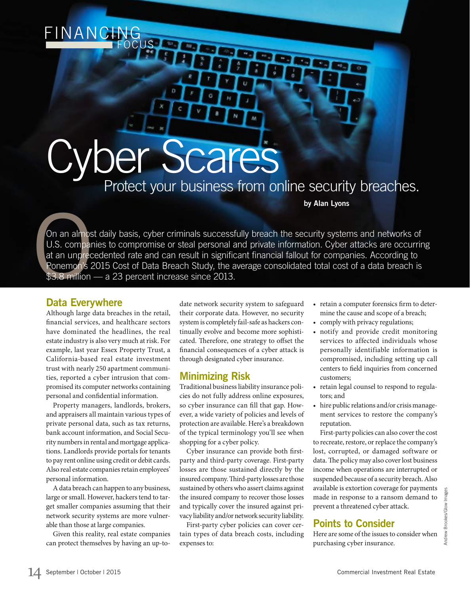## Cyber Scares

Protect your business from online security breaches.

**by Alan Lyons**

On an almos<br>U.S. compared at an unprecedence of the set of the set of the set of the set of the set of the set of the set of the set of the set of the set of the set of the set of the set of the set of the set of the set o On an almost daily basis, cyber criminals successfully breach the security systems and networks of U.S. companies to compromise or steal personal and private information. Cyber attacks are occurring at an unprecedented rate and can result in significant financial fallout for companies. According to Ponemon's 2015 Cost of Data Breach Study, the average consolidated total cost of a data breach is \$3.8 million — a 23 percent increase since 2013.

## **Data Everywhere**

NANCING

FOCUS

Although large data breaches in the retail, financial services, and healthcare sectors have dominated the headlines, the real estate industry is also very much at risk. For example, last year Essex Property Trust, a California-based real estate investment trust with nearly 250 apartment communities, reported a cyber intrusion that compromised its computer networks containing personal and confidential information.

Property managers, landlords, brokers, and appraisers all maintain various types of private personal data, such as tax returns, bank account information, and Social Security numbers in rental and mortgage applications. Landlords provide portals for tenants to pay rent online using credit or debit cards. Also real estate companies retain employees' personal information.

A data breach can happen to any business, large or small. However, hackers tend to target smaller companies assuming that their network security systems are more vulnerable than those at large companies.

Given this reality, real estate companies can protect themselves by having an up-todate network security system to safeguard their corporate data. However, no security system is completely fail-safe as hackers continually evolve and become more sophisticated. Therefore, one strategy to offset the financial consequences of a cyber attack is through designated cyber insurance.

## **Minimizing Risk**

Traditional business liability insurance policies do not fully address online exposures, so cyber insurance can fill that gap. However, a wide variety of policies and levels of protection are available. Here's a breakdown of the typical terminology you'll see when shopping for a cyber policy.

Cyber insurance can provide both firstparty and third-party coverage. First-party losses are those sustained directly by the insured company. Third-party losses are those sustained by others who assert claims against the insured company to recover those losses and typically cover the insured against privacy liability and/or network security liability.

First-party cyber policies can cover certain types of data breach costs, including expenses to:

- retain a computer forensics firm to determine the cause and scope of a breach;
- comply with privacy regulations;
- notify and provide credit monitoring services to affected individuals whose personally identifiable information is compromised, including setting up call centers to field inquiries from concerned customers;
- retain legal counsel to respond to regulators; and
- hire public relations and/or crisis management services to restore the company's reputation.

First-party policies can also cover the cost to recreate, restore, or replace the company's lost, corrupted, or damaged software or data. The policy may also cover lost business income when operations are interrupted or suspended because of a security breach. Also available is extortion coverage for payments made in response to a ransom demand to prevent a threatened cyber attack.

## **Points to Consider**

Here are some of the issues to consider when purchasing cyber insurance.